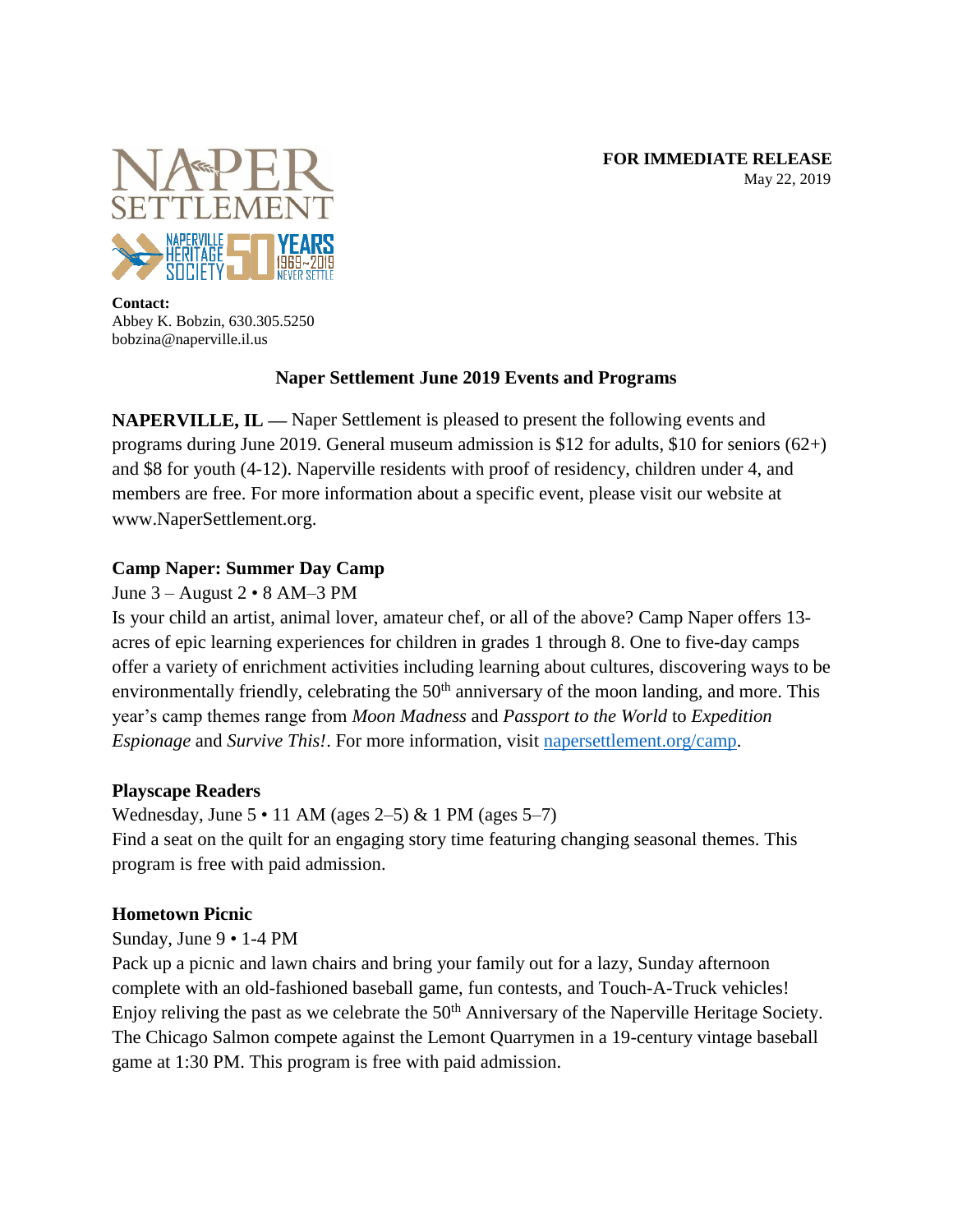**FOR IMMEDIATE RELEASE** May 22, 2019



**Contact:** Abbey K. Bobzin, 630.305.5250 bobzina@naperville.il.us

# **Naper Settlement June 2019 Events and Programs**

**NAPERVILLE, IL —** Naper Settlement is pleased to present the following events and programs during June 2019. General museum admission is \$12 for adults, \$10 for seniors (62+) and \$8 for youth (4-12). Naperville residents with proof of residency, children under 4, and members are free. For more information about a specific event, please visit our website at www.NaperSettlement.org.

# **Camp Naper: Summer Day Camp**

# June 3 – August 2 • 8 AM–3 PM

Is your child an artist, animal lover, amateur chef, or all of the above? Camp Naper offers 13 acres of epic learning experiences for children in grades 1 through 8. One to five-day camps offer a variety of enrichment activities including learning about cultures, discovering ways to be environmentally friendly, celebrating the 50<sup>th</sup> anniversary of the moon landing, and more. This year's camp themes range from *Moon Madness* and *Passport to the World* to *Expedition Espionage* and *Survive This!*. For more information, visit [napersettlement.org/camp.](http://www.napersettlement.org/camp)

# **Playscape Readers**

Wednesday, June  $5 \cdot 11$  AM (ages  $2-5$ ) & 1 PM (ages  $5-7$ ) Find a seat on the quilt for an engaging story time featuring changing seasonal themes. This program is free with paid admission.

# **Hometown Picnic**

Sunday, June 9 • 1-4 PM

Pack up a picnic and lawn chairs and bring your family out for a lazy, Sunday afternoon complete with an old-fashioned baseball game, fun contests, and Touch-A-Truck vehicles! Enjoy reliving the past as we celebrate the 50<sup>th</sup> Anniversary of the Naperville Heritage Society. The Chicago Salmon compete against the Lemont Quarrymen in a 19-century vintage baseball game at 1:30 PM. This program is free with paid admission.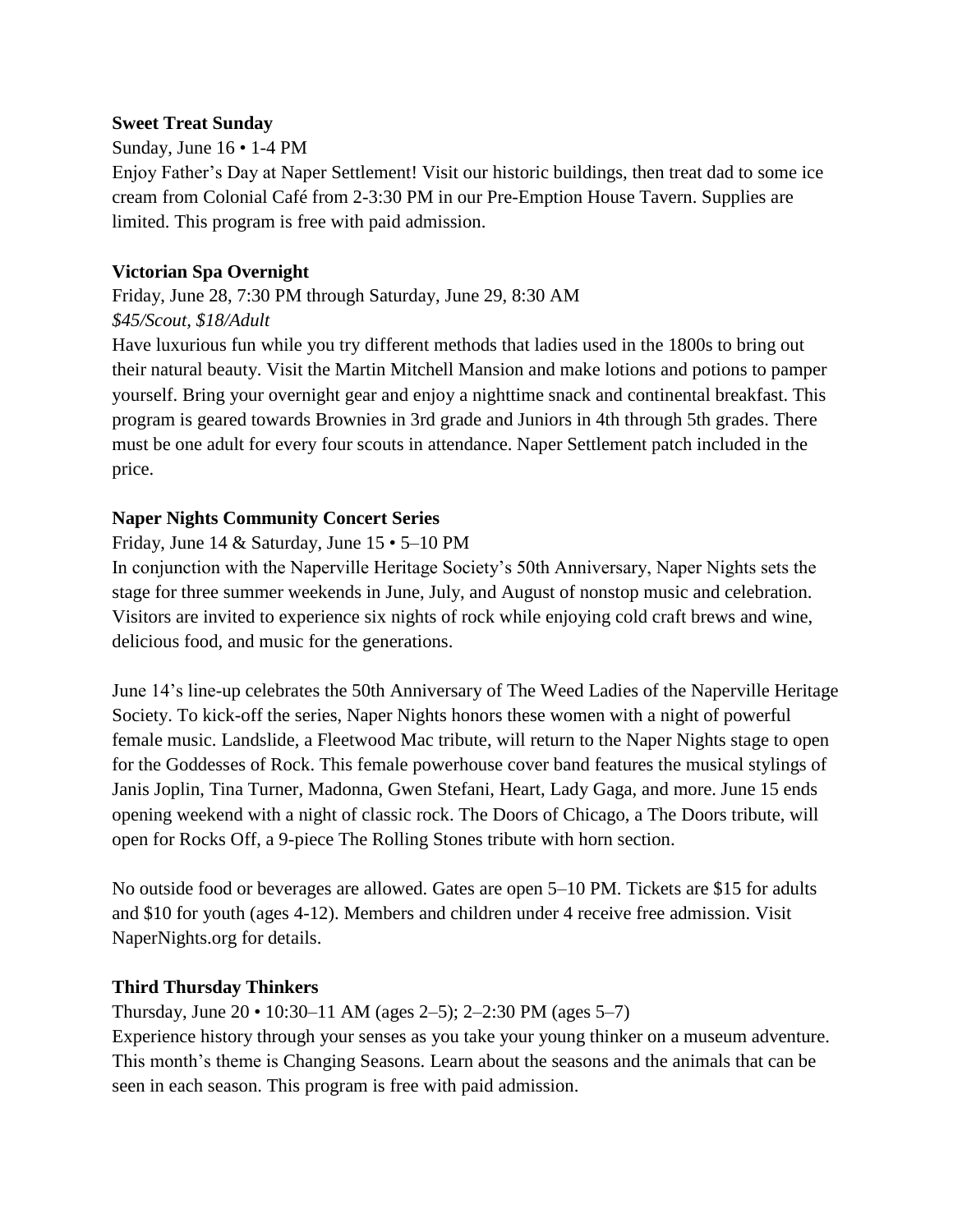### **Sweet Treat Sunday**

# Sunday, June 16 • 1-4 PM

Enjoy Father's Day at Naper Settlement! Visit our historic buildings, then treat dad to some ice cream from Colonial Café from 2-3:30 PM in our Pre-Emption House Tavern. Supplies are limited. This program is free with paid admission.

# **Victorian Spa Overnight**

Friday, June 28, 7:30 PM through Saturday, June 29, 8:30 AM *\$45/Scout, \$18/Adult*

Have luxurious fun while you try different methods that ladies used in the 1800s to bring out their natural beauty. Visit the Martin Mitchell Mansion and make lotions and potions to pamper yourself. Bring your overnight gear and enjoy a nighttime snack and continental breakfast. This program is geared towards Brownies in 3rd grade and Juniors in 4th through 5th grades. There must be one adult for every four scouts in attendance. Naper Settlement patch included in the price.

### **Naper Nights Community Concert Series**

Friday, June 14 & Saturday, June 15 • 5–10 PM

In conjunction with the Naperville Heritage Society's 50th Anniversary, Naper Nights sets the stage for three summer weekends in June, July, and August of nonstop music and celebration. Visitors are invited to experience six nights of rock while enjoying cold craft brews and wine, delicious food, and music for the generations.

June 14's line-up celebrates the 50th Anniversary of The Weed Ladies of the Naperville Heritage Society. To kick-off the series, Naper Nights honors these women with a night of powerful female music. Landslide, a Fleetwood Mac tribute, will return to the Naper Nights stage to open for the Goddesses of Rock. This female powerhouse cover band features the musical stylings of Janis Joplin, Tina Turner, Madonna, Gwen Stefani, Heart, Lady Gaga, and more. June 15 ends opening weekend with a night of classic rock. The Doors of Chicago, a The Doors tribute, will open for Rocks Off, a 9-piece The Rolling Stones tribute with horn section.

No outside food or beverages are allowed. Gates are open 5–10 PM. Tickets are \$15 for adults and \$10 for youth (ages 4-12). Members and children under 4 receive free admission. Visit NaperNights.org for details.

#### **Third Thursday Thinkers**

Thursday, June  $20 \cdot 10:30 - 11$  AM (ages  $2 - 5$ );  $2 - 2:30$  PM (ages  $5 - 7$ ) Experience history through your senses as you take your young thinker on a museum adventure. This month's theme is Changing Seasons. Learn about the seasons and the animals that can be seen in each season. This program is free with paid admission.